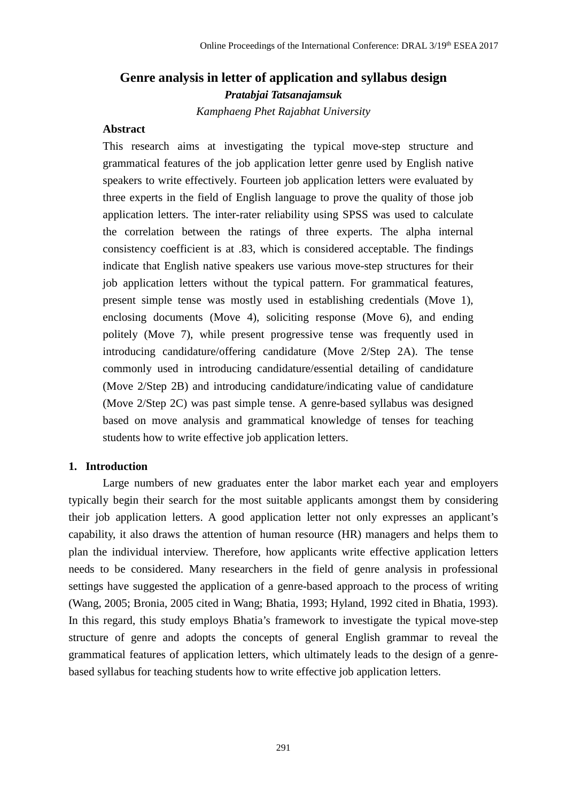# **Genre analysis in letter of application and syllabus design** *Pratabjai Tatsanajamsuk*

*Kamphaeng Phet Rajabhat University*

# **Abstract**

This research aims at investigating the typical move-step structure and grammatical features of the job application letter genre used by English native speakers to write effectively. Fourteen job application letters were evaluated by three experts in the field of English language to prove the quality of those job application letters. The inter-rater reliability using SPSS was used to calculate the correlation between the ratings of three experts. The alpha internal consistency coefficient is at .83, which is considered acceptable. The findings indicate that English native speakers use various move-step structures for their job application letters without the typical pattern. For grammatical features, present simple tense was mostly used in establishing credentials (Move 1), enclosing documents (Move 4), soliciting response (Move 6), and ending politely (Move 7), while present progressive tense was frequently used in introducing candidature/offering candidature (Move 2/Step 2A). The tense commonly used in introducing candidature/essential detailing of candidature (Move 2/Step 2B) and introducing candidature/indicating value of candidature (Move 2/Step 2C) was past simple tense. A genre-based syllabus was designed based on move analysis and grammatical knowledge of tenses for teaching students how to write effective job application letters.

#### **1. Introduction**

Large numbers of new graduates enter the labor market each year and employers typically begin their search for the most suitable applicants amongst them by considering their job application letters. A good application letter not only expresses an applicant's capability, it also draws the attention of human resource (HR) managers and helps them to plan the individual interview. Therefore, how applicants write effective application letters needs to be considered. Many researchers in the field of genre analysis in professional settings have suggested the application of a genre-based approach to the process of writing (Wang, 2005; Bronia, 2005 cited in Wang; Bhatia, 1993; Hyland, 1992 cited in Bhatia, 1993). In this regard, this study employs Bhatia's framework to investigate the typical move-step structure of genre and adopts the concepts of general English grammar to reveal the grammatical features of application letters, which ultimately leads to the design of a genrebased syllabus for teaching students how to write effective job application letters.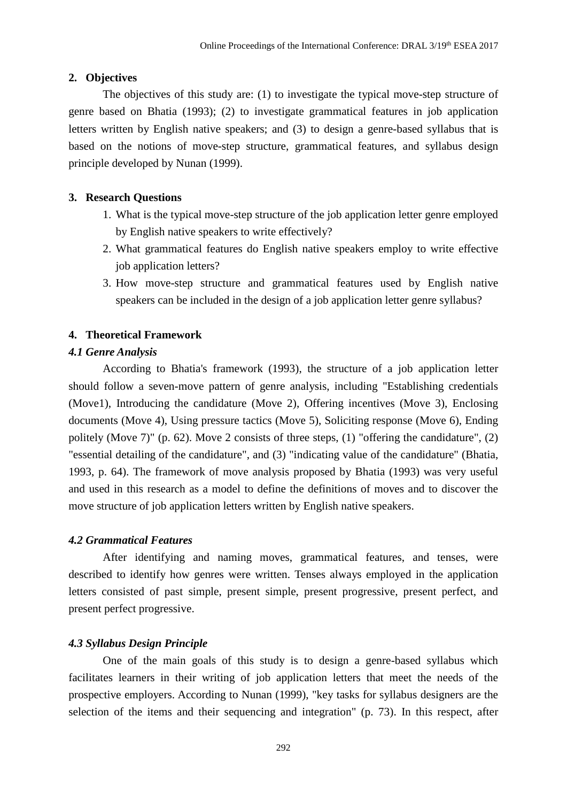### **2. Objectives**

The objectives of this study are: (1) to investigate the typical move-step structure of genre based on Bhatia (1993); (2) to investigate grammatical features in job application letters written by English native speakers; and (3) to design a genre-based syllabus that is based on the notions of move-step structure, grammatical features, and syllabus design principle developed by Nunan (1999).

# **3. Research Questions**

- 1. What is the typical move-step structure of the job application letter genre employed by English native speakers to write effectively?
- 2. What grammatical features do English native speakers employ to write effective job application letters?
- 3. How move-step structure and grammatical features used by English native speakers can be included in the design of a job application letter genre syllabus?

# **4. Theoretical Framework**

# *4.1 Genre Analysis*

According to Bhatia's framework (1993), the structure of a job application letter should follow a seven-move pattern of genre analysis, including "Establishing credentials (Move1), Introducing the candidature (Move 2), Offering incentives (Move 3), Enclosing documents (Move 4), Using pressure tactics (Move 5), Soliciting response (Move 6), Ending politely (Move 7)" (p. 62). Move 2 consists of three steps, (1) "offering the candidature", (2) "essential detailing of the candidature", and (3) "indicating value of the candidature" (Bhatia, 1993, p. 64). The framework of move analysis proposed by Bhatia (1993) was very useful and used in this research as a model to define the definitions of moves and to discover the move structure of job application letters written by English native speakers.

# *4.2 Grammatical Features*

After identifying and naming moves, grammatical features, and tenses, were described to identify how genres were written. Tenses always employed in the application letters consisted of past simple, present simple, present progressive, present perfect, and present perfect progressive.

# *4.3 Syllabus Design Principle*

One of the main goals of this study is to design a genre-based syllabus which facilitates learners in their writing of job application letters that meet the needs of the prospective employers. According to Nunan (1999), "key tasks for syllabus designers are the selection of the items and their sequencing and integration" (p. 73). In this respect, after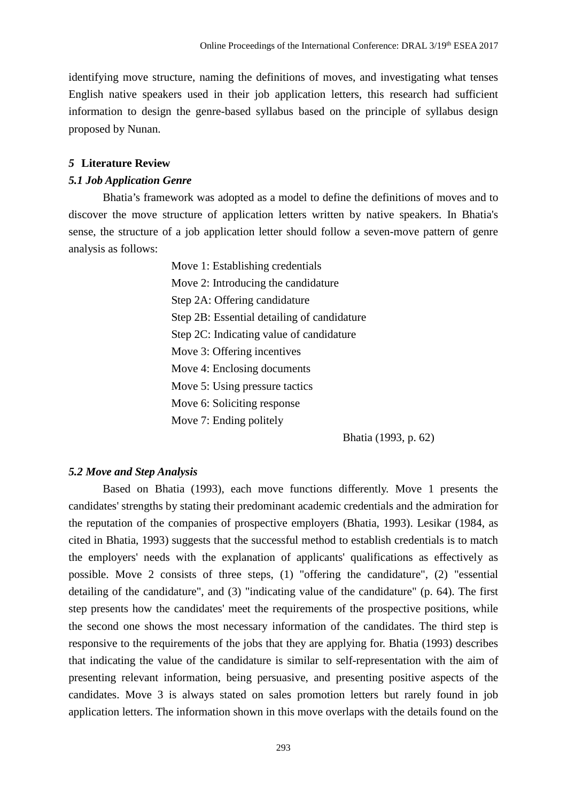identifying move structure, naming the definitions of moves, and investigating what tenses English native speakers used in their job application letters, this research had sufficient information to design the genre-based syllabus based on the principle of syllabus design proposed by Nunan.

#### *5* **Literature Review**

#### *5.1 Job Application Genre*

Bhatia's framework was adopted as a model to define the definitions of moves and to discover the move structure of application letters written by native speakers. In Bhatia's sense, the structure of a job application letter should follow a seven-move pattern of genre analysis as follows:

> Move 1: Establishing credentials Move 2: Introducing the candidature Step 2A: Offering candidature Step 2B: Essential detailing of candidature Step 2C: Indicating value of candidature Move 3: Offering incentives Move 4: Enclosing documents Move 5: Using pressure tactics Move 6: Soliciting response Move 7: Ending politely

> > Bhatia (1993, p. 62)

#### *5.2 Move and Step Analysis*

Based on Bhatia (1993), each move functions differently. Move 1 presents the candidates' strengths by stating their predominant academic credentials and the admiration for the reputation of the companies of prospective employers (Bhatia, 1993). Lesikar (1984, as cited in Bhatia, 1993) suggests that the successful method to establish credentials is to match the employers' needs with the explanation of applicants' qualifications as effectively as possible. Move 2 consists of three steps, (1) "offering the candidature", (2) "essential detailing of the candidature", and (3) "indicating value of the candidature" (p. 64). The first step presents how the candidates' meet the requirements of the prospective positions, while the second one shows the most necessary information of the candidates. The third step is responsive to the requirements of the jobs that they are applying for. Bhatia (1993) describes that indicating the value of the candidature is similar to self-representation with the aim of presenting relevant information, being persuasive, and presenting positive aspects of the candidates. Move 3 is always stated on sales promotion letters but rarely found in job application letters. The information shown in this move overlaps with the details found on the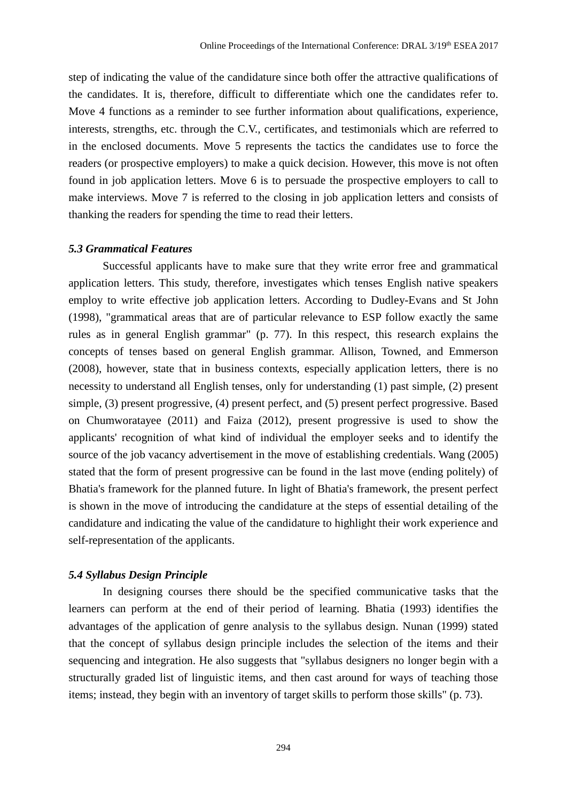step of indicating the value of the candidature since both offer the attractive qualifications of the candidates. It is, therefore, difficult to differentiate which one the candidates refer to. Move 4 functions as a reminder to see further information about qualifications, experience, interests, strengths, etc. through the C.V., certificates, and testimonials which are referred to in the enclosed documents. Move 5 represents the tactics the candidates use to force the readers (or prospective employers) to make a quick decision. However, this move is not often found in job application letters. Move 6 is to persuade the prospective employers to call to make interviews. Move 7 is referred to the closing in job application letters and consists of thanking the readers for spending the time to read their letters.

#### *5.3 Grammatical Features*

Successful applicants have to make sure that they write error free and grammatical application letters. This study, therefore, investigates which tenses English native speakers employ to write effective job application letters. According to Dudley-Evans and St John (1998), "grammatical areas that are of particular relevance to ESP follow exactly the same rules as in general English grammar" (p. 77). In this respect, this research explains the concepts of tenses based on general English grammar. Allison, Towned, and Emmerson (2008), however, state that in business contexts, especially application letters, there is no necessity to understand all English tenses, only for understanding (1) past simple, (2) present simple, (3) present progressive, (4) present perfect, and (5) present perfect progressive. Based on Chumworatayee (2011) and Faiza (2012), present progressive is used to show the applicants' recognition of what kind of individual the employer seeks and to identify the source of the job vacancy advertisement in the move of establishing credentials. Wang (2005) stated that the form of present progressive can be found in the last move (ending politely) of Bhatia's framework for the planned future. In light of Bhatia's framework, the present perfect is shown in the move of introducing the candidature at the steps of essential detailing of the candidature and indicating the value of the candidature to highlight their work experience and self-representation of the applicants.

#### *5.4 Syllabus Design Principle*

In designing courses there should be the specified communicative tasks that the learners can perform at the end of their period of learning. Bhatia (1993) identifies the advantages of the application of genre analysis to the syllabus design. Nunan (1999) stated that the concept of syllabus design principle includes the selection of the items and their sequencing and integration. He also suggests that "syllabus designers no longer begin with a structurally graded list of linguistic items, and then cast around for ways of teaching those items; instead, they begin with an inventory of target skills to perform those skills" (p. 73).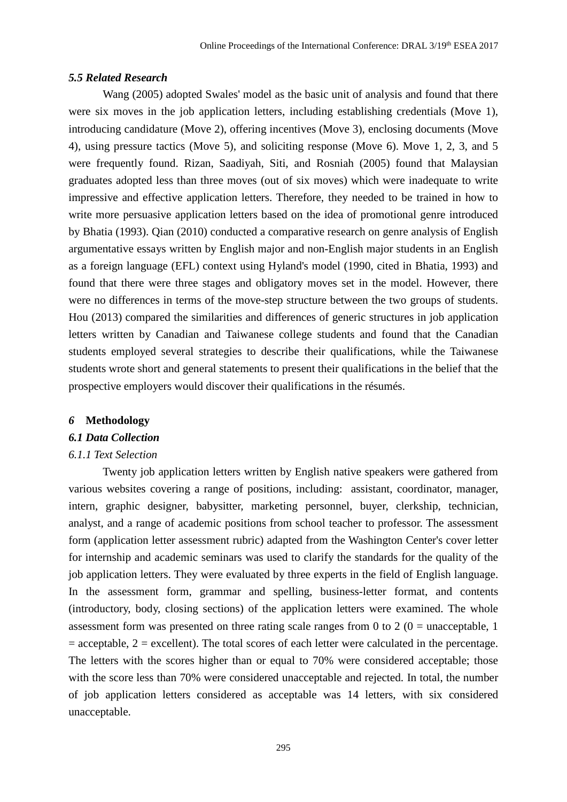### *5.5 Related Research*

Wang (2005) adopted Swales' model as the basic unit of analysis and found that there were six moves in the job application letters, including establishing credentials (Move 1), introducing candidature (Move 2), offering incentives (Move 3), enclosing documents (Move 4), using pressure tactics (Move 5), and soliciting response (Move 6). Move 1, 2, 3, and 5 were frequently found. Rizan, Saadiyah, Siti, and Rosniah (2005) found that Malaysian graduates adopted less than three moves (out of six moves) which were inadequate to write impressive and effective application letters. Therefore, they needed to be trained in how to write more persuasive application letters based on the idea of promotional genre introduced by Bhatia (1993). Qian (2010) conducted a comparative research on genre analysis of English argumentative essays written by English major and non-English major students in an English as a foreign language (EFL) context using Hyland's model (1990, cited in Bhatia, 1993) and found that there were three stages and obligatory moves set in the model. However, there were no differences in terms of the move-step structure between the two groups of students. Hou (2013) compared the similarities and differences of generic structures in job application letters written by Canadian and Taiwanese college students and found that the Canadian students employed several strategies to describe their qualifications, while the Taiwanese students wrote short and general statements to present their qualifications in the belief that the prospective employers would discover their qualifications in the résumés.

#### *6* **Methodology**

### *6.1 Data Collection*

### *6.1.1 Text Selection*

Twenty job application letters written by English native speakers were gathered from various websites covering a range of positions, including: assistant, coordinator, manager, intern, graphic designer, babysitter, marketing personnel, buyer, clerkship, technician, analyst, and a range of academic positions from school teacher to professor. The assessment form (application letter assessment rubric) adapted from the Washington Center's cover letter for internship and academic seminars was used to clarify the standards for the quality of the job application letters. They were evaluated by three experts in the field of English language. In the assessment form, grammar and spelling, business-letter format, and contents (introductory, body, closing sections) of the application letters were examined. The whole assessment form was presented on three rating scale ranges from 0 to 2 ( $0 =$  unacceptable, 1  $=$  acceptable,  $2 =$  excellent). The total scores of each letter were calculated in the percentage. The letters with the scores higher than or equal to 70% were considered acceptable; those with the score less than 70% were considered unacceptable and rejected. In total, the number of job application letters considered as acceptable was 14 letters, with six considered unacceptable.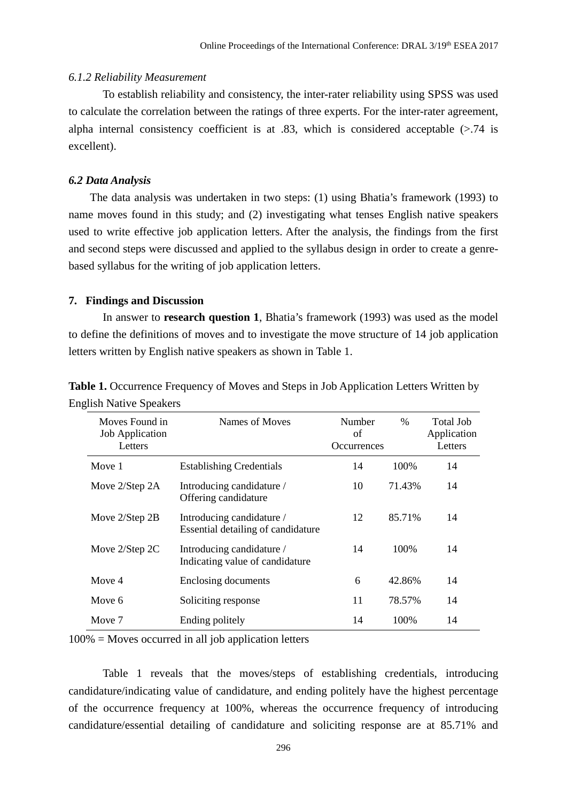### *6.1.2 Reliability Measurement*

To establish reliability and consistency, the inter-rater reliability using SPSS was used to calculate the correlation between the ratings of three experts. For the inter-rater agreement, alpha internal consistency coefficient is at .83, which is considered acceptable  $(> 0.74)$  is excellent).

#### *6.2 Data Analysis*

The data analysis was undertaken in two steps: (1) using Bhatia's framework (1993) to name moves found in this study; and (2) investigating what tenses English native speakers used to write effective job application letters. After the analysis, the findings from the first and second steps were discussed and applied to the syllabus design in order to create a genrebased syllabus for the writing of job application letters.

#### **7. Findings and Discussion**

In answer to **research question 1**, Bhatia's framework (1993) was used as the model to define the definitions of moves and to investigate the move structure of 14 job application letters written by English native speakers as shown in Table 1.

| Moves Found in<br><b>Job Application</b><br>Letters | Names of Moves                                                  | <b>Number</b><br>of<br><b>Occurrences</b> | $\%$   | Total Job<br>Application<br>Letters |
|-----------------------------------------------------|-----------------------------------------------------------------|-------------------------------------------|--------|-------------------------------------|
| Move 1                                              | <b>Establishing Credentials</b>                                 | 14                                        | 100\%  | 14                                  |
| Move 2/Step 2A                                      | Introducing candidature /<br>Offering candidature               | 10                                        | 71.43% | 14                                  |
| Move 2/Step 2B                                      | Introducing candidature /<br>Essential detailing of candidature | 12                                        | 85.71% | 14                                  |
| Move $2/Step 2C$                                    | Introducing candidature /<br>Indicating value of candidature    | 14                                        | 100\%  | 14                                  |
| Move 4                                              | Enclosing documents                                             | 6                                         | 42.86% | 14                                  |
| Move 6                                              | Soliciting response                                             | 11                                        | 78.57% | 14                                  |
| Move 7                                              | Ending politely                                                 | 14                                        | 100\%  | 14                                  |

**Table 1.** Occurrence Frequency of Moves and Steps in Job Application Letters Written by English Native Speakers

100% = Moves occurred in all job application letters

Table 1 reveals that the moves/steps of establishing credentials, introducing candidature/indicating value of candidature, and ending politely have the highest percentage of the occurrence frequency at 100%, whereas the occurrence frequency of introducing candidature/essential detailing of candidature and soliciting response are at 85.71% and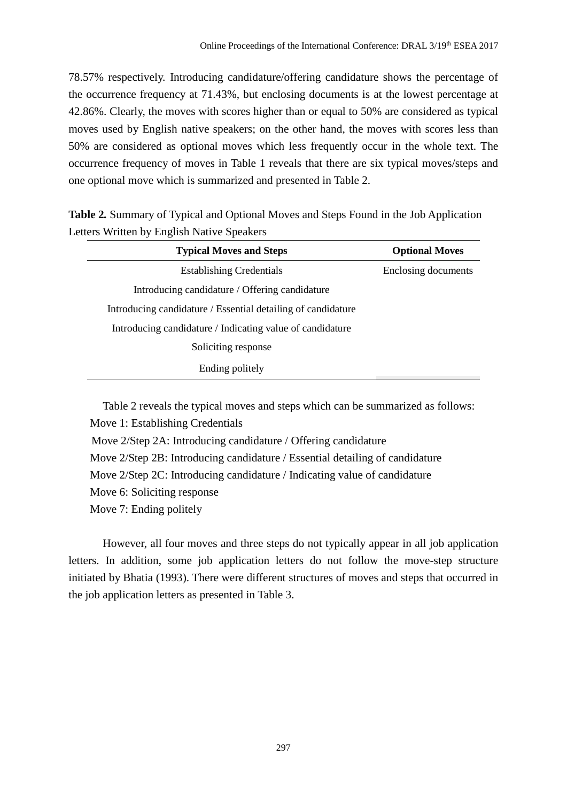78.57% respectively. Introducing candidature/offering candidature shows the percentage of the occurrence frequency at 71.43%, but enclosing documents is at the lowest percentage at 42.86%. Clearly, the moves with scores higher than or equal to 50% are considered as typical moves used by English native speakers; on the other hand, the moves with scores less than 50% are considered as optional moves which less frequently occur in the whole text. The occurrence frequency of moves in Table 1 reveals that there are six typical moves/steps and one optional move which is summarized and presented in Table 2.

**Table 2***.* Summary of Typical and Optional Moves and Steps Found in the Job Application Letters Written by English Native Speakers

| <b>Typical Moves and Steps</b>                               | <b>Optional Moves</b> |  |
|--------------------------------------------------------------|-----------------------|--|
| <b>Establishing Credentials</b>                              | Enclosing documents   |  |
| Introducing candidature / Offering candidature               |                       |  |
| Introducing candidature / Essential detailing of candidature |                       |  |
| Introducing candidature / Indicating value of candidature    |                       |  |
| Soliciting response                                          |                       |  |
| Ending politely                                              |                       |  |

Table 2 reveals the typical moves and steps which can be summarized as follows: Move 1: Establishing Credentials Move 2/Step 2A: Introducing candidature / Offering candidature Move 2/Step 2B: Introducing candidature / Essential detailing of candidature Move 2/Step 2C: Introducing candidature / Indicating value of candidature Move 6: Soliciting response Move 7: Ending politely

However, all four moves and three steps do not typically appear in all job application letters. In addition, some job application letters do not follow the move-step structure initiated by Bhatia (1993). There were different structures of moves and steps that occurred in the job application letters as presented in Table 3.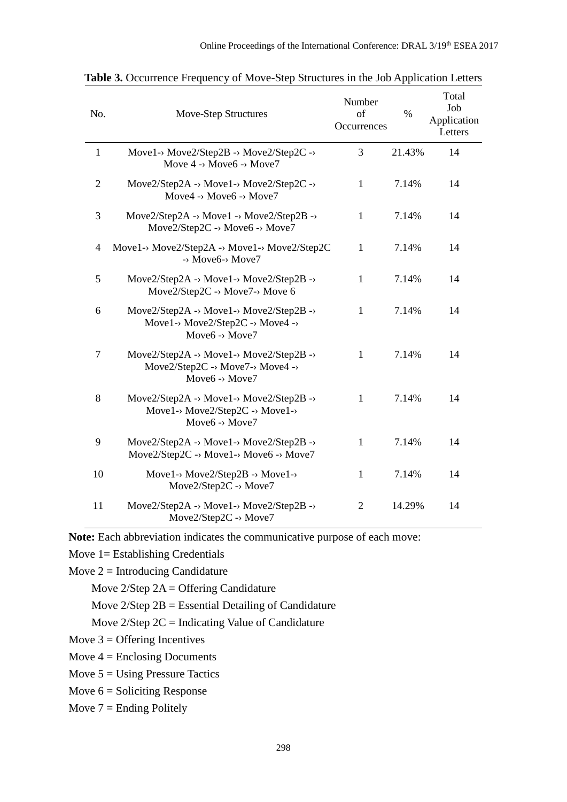| No.            | Move-Step Structures                                                                                        | Number<br>of<br>Occurrences | $\%$   | Total<br>Job<br>Application<br>Letters |
|----------------|-------------------------------------------------------------------------------------------------------------|-----------------------------|--------|----------------------------------------|
| $\mathbf{1}$   | Move1-> Move2/Step2B -> Move2/Step2C -><br>Move $4 \rightarrow$ Move $6 \rightarrow$ Move $7$               | 3                           | 21.43% | 14                                     |
| $\overline{2}$ | Move2/Step2A -> Move1-> Move2/Step2C -><br>Move4 -> Move6 -> Move7                                          | $\mathbf{1}$                | 7.14%  | 14                                     |
| 3              | Move2/Step2A -> Move1 -> Move2/Step2B -><br>Move2/Step2C -> Move6 -> Move7                                  | $\mathbf{1}$                | 7.14%  | 14                                     |
| 4              | Move1-> Move2/Step2A -> Move1-> Move2/Step2C<br>$\rightarrow$ Move6-> Move7                                 | 1                           | 7.14%  | 14                                     |
| 5              | Move2/Step2A -> Move1-> Move2/Step2B -><br>Move2/Step2C -> Move7-> Move 6                                   | $\mathbf{1}$                | 7.14%  | 14                                     |
| 6              | Move2/Step2A -> Move1-> Move2/Step2B -><br>Move1-> Move2/Step2C -> Move4 -><br>Move <sub>6</sub> -> Move7   | 1                           | 7.14%  | 14                                     |
| $\overline{7}$ | Move2/Step2A -> Move1-> Move2/Step2B -><br>Move2/Step2C -> Move7-> Move4 -><br>Move6 -> Move7               | $\mathbf{1}$                | 7.14%  | 14                                     |
| 8              | Move2/Step2A -> Move1-> Move2/Step2B -><br>Move1-> Move2/Step2C -> Move1-><br>Move $6 \rightarrow$ Move $7$ | 1                           | 7.14%  | 14                                     |
| 9              | Move2/Step2A -> Move1-> Move2/Step2B -><br>Move2/Step2C -> Move1-> Move6 -> Move7                           | $\mathbf{1}$                | 7.14%  | 14                                     |
| 10             | Move1-> Move2/Step2B -> Move1-><br>Move2/Step2C -> Move7                                                    | 1                           | 7.14%  | 14                                     |
| 11             | Move2/Step2A -> Move1-> Move2/Step2B -><br>Move $2/Step2C \rightarrow Move7$                                | $\overline{2}$              | 14.29% | 14                                     |

**Table 3.** Occurrence Frequency of Move-Step Structures in the Job Application Letters

**Note:** Each abbreviation indicates the communicative purpose of each move:

Move 1= Establishing Credentials

Move  $2 = Introducing$  Candidature

Move  $2/Step 2A =$  Offering Candidature

Move 2/Step 2B = Essential Detailing of Candidature

Move  $2$ /Step  $2C =$  Indicating Value of Candidature

Move  $3 =$  Offering Incentives

Move  $4 =$  Enclosing Documents

Move  $5 = Using$  Pressure Tactics

Move  $6 =$  Soliciting Response

Move  $7 =$  Ending Politely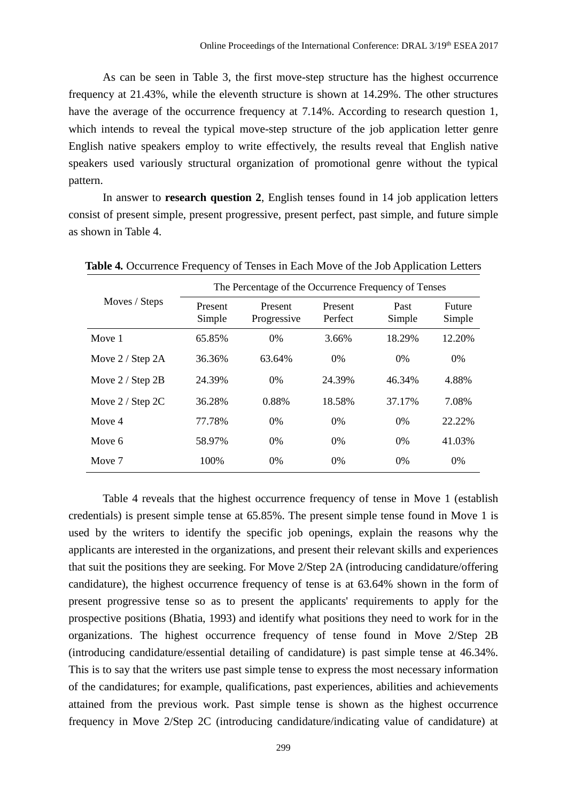As can be seen in Table 3, the first move-step structure has the highest occurrence frequency at 21.43%, while the eleventh structure is shown at 14.29%. The other structures have the average of the occurrence frequency at 7.14%. According to research question 1, which intends to reveal the typical move-step structure of the job application letter genre English native speakers employ to write effectively, the results reveal that English native speakers used variously structural organization of promotional genre without the typical pattern.

In answer to **research question 2**, English tenses found in 14 job application letters consist of present simple, present progressive, present perfect, past simple, and future simple as shown in Table 4.

|                      | The Percentage of the Occurrence Frequency of Tenses |                        |                    |                |                  |  |
|----------------------|------------------------------------------------------|------------------------|--------------------|----------------|------------------|--|
| Moves / Steps        | Present<br>Simple                                    | Present<br>Progressive | Present<br>Perfect | Past<br>Simple | Future<br>Simple |  |
| Move 1               | 65.85%                                               | $0\%$                  | 3.66%              | 18.29%         | 12.20%           |  |
| Move $2 /$ Step $2A$ | 36.36%                                               | 63.64%                 | 0%                 | $0\%$          | $0\%$            |  |
| Move $2 /$ Step $2B$ | 24.39%                                               | $0\%$                  | 24.39%             | 46.34%         | 4.88%            |  |
| Move $2 /$ Step 2C   | 36.28%                                               | 0.88%                  | 18.58%             | 37.17%         | 7.08%            |  |
| Move 4               | 77.78%                                               | $0\%$                  | $0\%$              | 0%             | 22.22%           |  |
| Move 6               | 58.97%                                               | $0\%$                  | $0\%$              | $0\%$          | 41.03%           |  |
| Move 7               | 100\%                                                | $0\%$                  | 0%                 | $0\%$          | $0\%$            |  |

**Table 4***.* Occurrence Frequency of Tenses in Each Move of the Job Application Letters

Table 4 reveals that the highest occurrence frequency of tense in Move 1 (establish credentials) is present simple tense at 65.85%. The present simple tense found in Move 1 is used by the writers to identify the specific job openings, explain the reasons why the applicants are interested in the organizations, and present their relevant skills and experiences that suit the positions they are seeking. For Move 2/Step 2A (introducing candidature/offering candidature), the highest occurrence frequency of tense is at 63.64% shown in the form of present progressive tense so as to present the applicants' requirements to apply for the prospective positions (Bhatia, 1993) and identify what positions they need to work for in the organizations. The highest occurrence frequency of tense found in Move 2/Step 2B (introducing candidature/essential detailing of candidature) is past simple tense at 46.34%. This is to say that the writers use past simple tense to express the most necessary information of the candidatures; for example, qualifications, past experiences, abilities and achievements attained from the previous work. Past simple tense is shown as the highest occurrence frequency in Move 2/Step 2C (introducing candidature/indicating value of candidature) at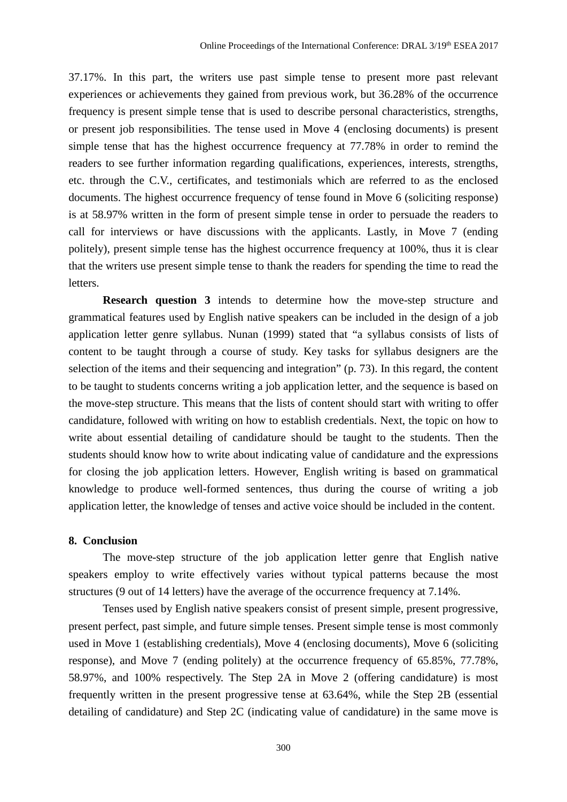37.17%. In this part, the writers use past simple tense to present more past relevant experiences or achievements they gained from previous work, but 36.28% of the occurrence frequency is present simple tense that is used to describe personal characteristics, strengths, or present job responsibilities. The tense used in Move 4 (enclosing documents) is present simple tense that has the highest occurrence frequency at 77.78% in order to remind the readers to see further information regarding qualifications, experiences, interests, strengths, etc. through the C.V., certificates, and testimonials which are referred to as the enclosed documents. The highest occurrence frequency of tense found in Move 6 (soliciting response) is at 58.97% written in the form of present simple tense in order to persuade the readers to call for interviews or have discussions with the applicants. Lastly, in Move 7 (ending politely), present simple tense has the highest occurrence frequency at 100%, thus it is clear that the writers use present simple tense to thank the readers for spending the time to read the letters.

**Research question 3** intends to determine how the move-step structure and grammatical features used by English native speakers can be included in the design of a job application letter genre syllabus. Nunan (1999) stated that "a syllabus consists of lists of content to be taught through a course of study. Key tasks for syllabus designers are the selection of the items and their sequencing and integration" (p. 73). In this regard, the content to be taught to students concerns writing a job application letter, and the sequence is based on the move-step structure. This means that the lists of content should start with writing to offer candidature, followed with writing on how to establish credentials. Next, the topic on how to write about essential detailing of candidature should be taught to the students. Then the students should know how to write about indicating value of candidature and the expressions for closing the job application letters. However, English writing is based on grammatical knowledge to produce well-formed sentences, thus during the course of writing a job application letter, the knowledge of tenses and active voice should be included in the content.

#### **8. Conclusion**

The move-step structure of the job application letter genre that English native speakers employ to write effectively varies without typical patterns because the most structures (9 out of 14 letters) have the average of the occurrence frequency at 7.14%.

Tenses used by English native speakers consist of present simple, present progressive, present perfect, past simple, and future simple tenses. Present simple tense is most commonly used in Move 1 (establishing credentials), Move 4 (enclosing documents), Move 6 (soliciting response), and Move 7 (ending politely) at the occurrence frequency of 65.85%, 77.78%, 58.97%, and 100% respectively. The Step 2A in Move 2 (offering candidature) is most frequently written in the present progressive tense at 63.64%, while the Step 2B (essential detailing of candidature) and Step 2C (indicating value of candidature) in the same move is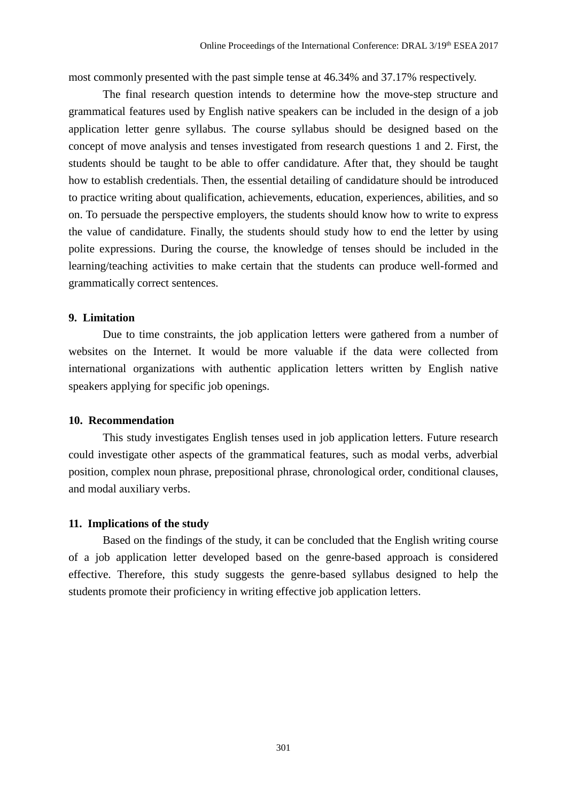most commonly presented with the past simple tense at 46.34% and 37.17% respectively.

The final research question intends to determine how the move-step structure and grammatical features used by English native speakers can be included in the design of a job application letter genre syllabus. The course syllabus should be designed based on the concept of move analysis and tenses investigated from research questions 1 and 2. First, the students should be taught to be able to offer candidature. After that, they should be taught how to establish credentials. Then, the essential detailing of candidature should be introduced to practice writing about qualification, achievements, education, experiences, abilities, and so on. To persuade the perspective employers, the students should know how to write to express the value of candidature. Finally, the students should study how to end the letter by using polite expressions. During the course, the knowledge of tenses should be included in the learning/teaching activities to make certain that the students can produce well-formed and grammatically correct sentences.

### **9. Limitation**

Due to time constraints, the job application letters were gathered from a number of websites on the Internet. It would be more valuable if the data were collected from international organizations with authentic application letters written by English native speakers applying for specific job openings.

#### **10. Recommendation**

This study investigates English tenses used in job application letters. Future research could investigate other aspects of the grammatical features, such as modal verbs, adverbial position, complex noun phrase, prepositional phrase, chronological order, conditional clauses, and modal auxiliary verbs.

#### **11. Implications of the study**

Based on the findings of the study, it can be concluded that the English writing course of a job application letter developed based on the genre-based approach is considered effective. Therefore, this study suggests the genre-based syllabus designed to help the students promote their proficiency in writing effective job application letters.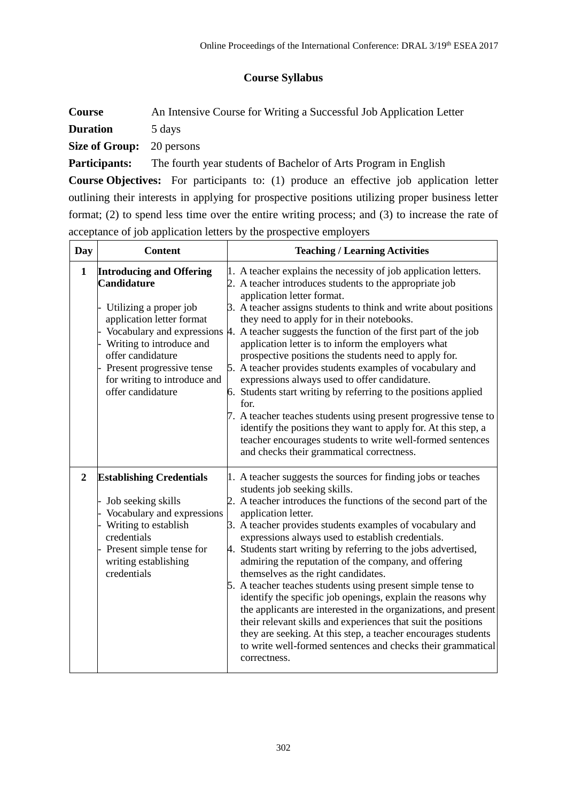# **Course Syllabus**

**Course** An Intensive Course for Writing a Successful Job Application Letter **Duration** 5 days

**Size of Group:** 20 persons

Participants: The fourth year students of Bachelor of Arts Program in English

**Course Objectives:** For participants to: (1) produce an effective job application letter outlining their interests in applying for prospective positions utilizing proper business letter format; (2) to spend less time over the entire writing process; and (3) to increase the rate of acceptance of job application letters by the prospective employers

| Day            | <b>Content</b>                                                                                                                                                                                                                                  | <b>Teaching / Learning Activities</b>                                                                                                                                                                                                                                                                                                                                                                                                                                                                                                                                                                                                                                                                                                                                                                                                                                                                                                     |
|----------------|-------------------------------------------------------------------------------------------------------------------------------------------------------------------------------------------------------------------------------------------------|-------------------------------------------------------------------------------------------------------------------------------------------------------------------------------------------------------------------------------------------------------------------------------------------------------------------------------------------------------------------------------------------------------------------------------------------------------------------------------------------------------------------------------------------------------------------------------------------------------------------------------------------------------------------------------------------------------------------------------------------------------------------------------------------------------------------------------------------------------------------------------------------------------------------------------------------|
| $\mathbf{1}$   | <b>Introducing and Offering</b><br><b>Candidature</b><br>Utilizing a proper job<br>application letter format<br>Writing to introduce and<br>offer candidature<br>Present progressive tense<br>for writing to introduce and<br>offer candidature | 1. A teacher explains the necessity of job application letters.<br>2. A teacher introduces students to the appropriate job<br>application letter format.<br>3. A teacher assigns students to think and write about positions<br>they need to apply for in their notebooks.<br>Vocabulary and expressions $\sharp$ . A teacher suggests the function of the first part of the job<br>application letter is to inform the employers what<br>prospective positions the students need to apply for.<br>5. A teacher provides students examples of vocabulary and<br>expressions always used to offer candidature.<br>6. Students start writing by referring to the positions applied<br>for.<br>7. A teacher teaches students using present progressive tense to<br>identify the positions they want to apply for. At this step, a<br>teacher encourages students to write well-formed sentences<br>and checks their grammatical correctness. |
| $\overline{2}$ | <b>Establishing Credentials</b><br>Job seeking skills<br>Vocabulary and expressions<br>Writing to establish<br>credentials<br>Present simple tense for<br>writing establishing<br>credentials                                                   | 1. A teacher suggests the sources for finding jobs or teaches<br>students job seeking skills.<br>2. A teacher introduces the functions of the second part of the<br>application letter.<br>3. A teacher provides students examples of vocabulary and<br>expressions always used to establish credentials.<br>4. Students start writing by referring to the jobs advertised,<br>admiring the reputation of the company, and offering<br>themselves as the right candidates.<br>5. A teacher teaches students using present simple tense to<br>identify the specific job openings, explain the reasons why<br>the applicants are interested in the organizations, and present<br>their relevant skills and experiences that suit the positions<br>they are seeking. At this step, a teacher encourages students<br>to write well-formed sentences and checks their grammatical<br>correctness.                                              |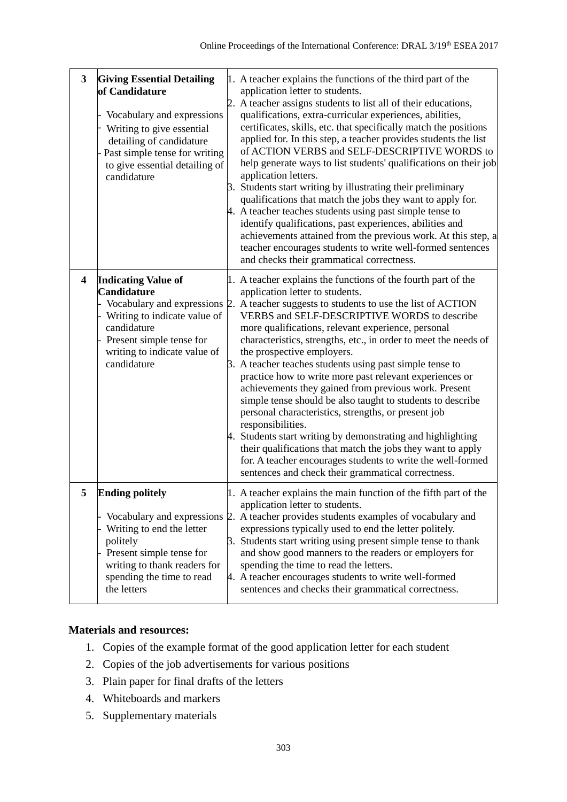| 3                       | <b>Giving Essential Detailing</b><br>of Candidature<br>Vocabulary and expressions<br>Writing to give essential<br>detailing of candidature<br>- Past simple tense for writing<br>to give essential detailing of<br>candidature | 1. A teacher explains the functions of the third part of the<br>application letter to students.<br>2. A teacher assigns students to list all of their educations,<br>qualifications, extra-curricular experiences, abilities,<br>certificates, skills, etc. that specifically match the positions<br>applied for. In this step, a teacher provides students the list<br>of ACTION VERBS and SELF-DESCRIPTIVE WORDS to<br>help generate ways to list students' qualifications on their job<br>application letters.<br>3. Students start writing by illustrating their preliminary<br>qualifications that match the jobs they want to apply for.<br>4. A teacher teaches students using past simple tense to<br>identify qualifications, past experiences, abilities and<br>achievements attained from the previous work. At this step, a<br>teacher encourages students to write well-formed sentences<br>and checks their grammatical correctness.                            |
|-------------------------|--------------------------------------------------------------------------------------------------------------------------------------------------------------------------------------------------------------------------------|-------------------------------------------------------------------------------------------------------------------------------------------------------------------------------------------------------------------------------------------------------------------------------------------------------------------------------------------------------------------------------------------------------------------------------------------------------------------------------------------------------------------------------------------------------------------------------------------------------------------------------------------------------------------------------------------------------------------------------------------------------------------------------------------------------------------------------------------------------------------------------------------------------------------------------------------------------------------------------|
| $\overline{\mathbf{4}}$ | <b>Indicating Value of</b><br><b>Candidature</b><br>Writing to indicate value of<br>candidature<br>Present simple tense for<br>writing to indicate value of<br>candidature                                                     | 1. A teacher explains the functions of the fourth part of the<br>application letter to students.<br>Vocabulary and expressions 2. A teacher suggests to students to use the list of ACTION<br>VERBS and SELF-DESCRIPTIVE WORDS to describe<br>more qualifications, relevant experience, personal<br>characteristics, strengths, etc., in order to meet the needs of<br>the prospective employers.<br>3. A teacher teaches students using past simple tense to<br>practice how to write more past relevant experiences or<br>achievements they gained from previous work. Present<br>simple tense should be also taught to students to describe<br>personal characteristics, strengths, or present job<br>responsibilities.<br>4. Students start writing by demonstrating and highlighting<br>their qualifications that match the jobs they want to apply<br>for. A teacher encourages students to write the well-formed<br>sentences and check their grammatical correctness. |
|                         | <b>Ending politely</b><br>Writing to end the letter<br>politely<br>Present simple tense for<br>writing to thank readers for<br>spending the time to read<br>the letters                                                        | A teacher explains the main function of the fifth part of the<br>application letter to students.<br>Vocabulary and expressions 2. A teacher provides students examples of vocabulary and<br>expressions typically used to end the letter politely.<br>3. Students start writing using present simple tense to thank<br>and show good manners to the readers or employers for<br>spending the time to read the letters.<br>4. A teacher encourages students to write well-formed<br>sentences and checks their grammatical correctness.                                                                                                                                                                                                                                                                                                                                                                                                                                        |

# **Materials and resources:**

- 1. Copies of the example format of the good application letter for each student
- 2. Copies of the job advertisements for various positions
- 3. Plain paper for final drafts of the letters
- 4. Whiteboards and markers
- 5. Supplementary materials